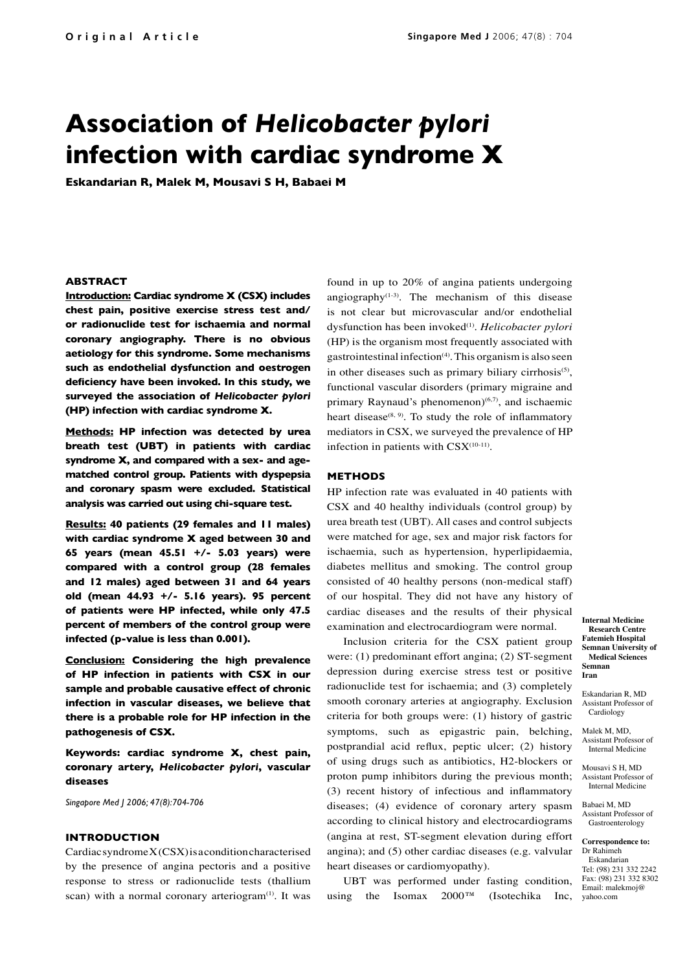# **Association of** *Helicobacter pylori* **infection with cardiac syndrome X**

**Eskandarian R, Malek M, Mousavi S H, Babaei M**

# **ABSTRACT**

**Introduction: Cardiac syndrome X (CSX) includes chest pain, positive exercise stress test and/ or radionuclide test for ischaemia and normal coronary angiography. There is no obvious aetiology for this syndrome. Some mechanisms such as endothelial dysfunction and oestrogen deficiency have been invoked. In this study, we surveyed the association of** *Helicobacter pylori*  **(HP) infection with cardiac syndrome X.** 

**Methods: HP infection was detected by urea breath test (UBT) in patients with cardiac syndrome X, and compared with a sex- and agematched control group. Patients with dyspepsia and coronary spasm were excluded. Statistical analysis was carried out using chi-square test.**

**Results: 40 patients (29 females and 11 males) with cardiac syndrome X aged between 30 and 65 years (mean 45.51 +/- 5.03 years) were compared with a control group (28 females and 12 males) aged between 31 and 64 years old (mean 44.93 +/- 5.16 years). 95 percent of patients were HP infected, while only 47.5 percent of members of the control group were infected (p-value is less than 0.001).**

**Conclusion: Considering the high prevalence of HP infection in patients with CSX in our sample and probable causative effect of chronic infection in vascular diseases, we believe that there is a probable role for HP infection in the pathogenesis of CSX.**

**Keywords: cardiac syndrome X, chest pain, coronary artery,** *Helicobacter pylori***, vascular diseases**

*Singapore Med J 2006; 47(8):704-706*

# **INTRODUCTION**

Cardiac syndrome X (CSX) is a condition characterised by the presence of angina pectoris and a positive response to stress or radionuclide tests (thallium scan) with a normal coronary arteriogram<sup>(1)</sup>. It was found in up to 20% of angina patients undergoing angiography $(1-3)$ . The mechanism of this disease is not clear but microvascular and/or endothelial dysfunction has been invoked(1). *Helicobacter pylori* (HP) is the organism most frequently associated with gastrointestinal infection $(4)$ . This organism is also seen in other diseases such as primary biliary cirrhosis<sup>(5)</sup>, functional vascular disorders (primary migraine and primary Raynaud's phenomenon) $(6,7)$ , and ischaemic heart disease $^{(8, 9)}$ . To study the role of inflammatory mediators in CSX, we surveyed the prevalence of HP infection in patients with  $CSX^{(10-11)}$ .

#### **METHODS**

HP infection rate was evaluated in 40 patients with CSX and 40 healthy individuals (control group) by urea breath test (UBT). All cases and control subjects were matched for age, sex and major risk factors for ischaemia, such as hypertension, hyperlipidaemia, diabetes mellitus and smoking. The control group consisted of 40 healthy persons (non-medical staff) of our hospital. They did not have any history of cardiac diseases and the results of their physical examination and electrocardiogram were normal.

Inclusion criteria for the CSX patient group were: (1) predominant effort angina; (2) ST-segment depression during exercise stress test or positive radionuclide test for ischaemia; and (3) completely smooth coronary arteries at angiography. Exclusion criteria for both groups were: (1) history of gastric symptoms, such as epigastric pain, belching, postprandial acid reflux, peptic ulcer; (2) history of using drugs such as antibiotics, H2-blockers or proton pump inhibitors during the previous month; (3) recent history of infectious and inflammatory diseases; (4) evidence of coronary artery spasm according to clinical history and electrocardiograms (angina at rest, ST-segment elevation during effort angina); and (5) other cardiac diseases (e.g. valvular heart diseases or cardiomyopathy).

Inc, yahoo.com UBT was performed under fasting condition, using the Isomax  $2000^{\text{TM}}$  (Isotechika

**Internal Medicine Research Centre Fatemieh Hospital Semnan University of Medical Sciences Semnan Iran**

Eskandarian R, MD Assistant Professor of Cardiology

Malek M, MD, Assistant Professor of Internal Medicine

Mousavi S H, MD Assistant Professor of Internal Medicine

Babaei M, MD Assistant Professor of Gastroenterology

**Correspondence to:** Dr Rahimeh Eskandarian Tel: (98) 231 332 2242 Fax: (98) 231 332 8302 Email: malekmoj@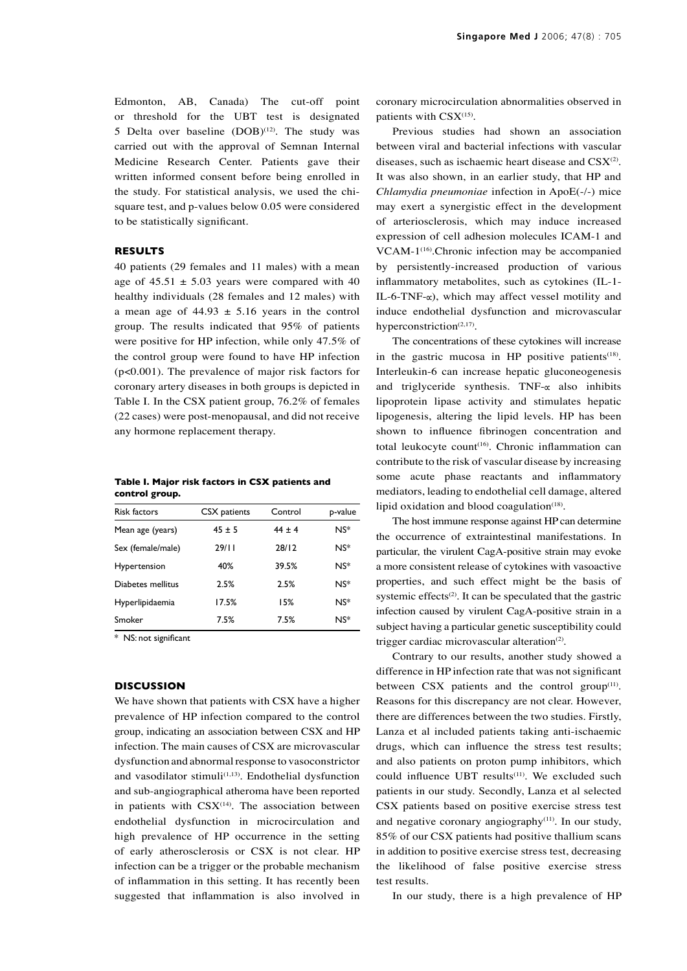Edmonton, AB, Canada) The cut-off point or threshold for the UBT test is designated 5 Delta over baseline  $(DOB)^{(12)}$ . The study was carried out with the approval of Semnan Internal Medicine Research Center. Patients gave their written informed consent before being enrolled in the study. For statistical analysis, we used the chisquare test, and p-values below 0.05 were considered to be statistically significant.

#### **RESULTS**

40 patients (29 females and 11 males) with a mean age of  $45.51 \pm 5.03$  years were compared with 40 healthy individuals (28 females and 12 males) with a mean age of  $44.93 \pm 5.16$  years in the control group. The results indicated that 95% of patients were positive for HP infection, while only 47.5% of the control group were found to have HP infection (p<0.001). The prevalence of major risk factors for coronary artery diseases in both groups is depicted in Table I. In the CSX patient group, 76.2% of females (22 cases) were post-menopausal, and did not receive any hormone replacement therapy.

|                |  |  | Table I. Major risk factors in CSX patients and |  |
|----------------|--|--|-------------------------------------------------|--|
| control group. |  |  |                                                 |  |

| <b>Risk factors</b> | CSX patients | Control    | p-value |
|---------------------|--------------|------------|---------|
| Mean age (years)    | $45 \pm 5$   | $44 \pm 4$ | $NS^*$  |
| Sex (female/male)   | 29/11        | 28/12      | $NS^*$  |
| Hypertension        | 40%          | 39.5%      | $NS*$   |
| Diabetes mellitus   | 2.5%         | 2.5%       | $NS^*$  |
| Hyperlipidaemia     | 17.5%        | 15%        | $NS*$   |
| Smoker              | 7.5%         | 7.5%       | $NS^*$  |

\* NS: not significant

# **DISCUSSION**

We have shown that patients with CSX have a higher prevalence of HP infection compared to the control group, indicating an association between CSX and HP infection. The main causes of CSX are microvascular dysfunction and abnormal response to vasoconstrictor and vasodilator stimuli $(1,13)$ . Endothelial dysfunction and sub-angiographical atheroma have been reported in patients with  $CSX^{(14)}$ . The association between endothelial dysfunction in microcirculation and high prevalence of HP occurrence in the setting of early atherosclerosis or CSX is not clear. HP infection can be a trigger or the probable mechanism of inflammation in this setting. It has recently been suggested that inflammation is also involved in coronary microcirculation abnormalities observed in patients with  $\text{CSX}^{(15)}$ .

Previous studies had shown an association between viral and bacterial infections with vascular diseases, such as ischaemic heart disease and  $\text{CSX}^{(2)}$ . It was also shown, in an earlier study, that HP and *Chlamydia pneumoniae* infection in ApoE(-/-) mice may exert a synergistic effect in the development of arteriosclerosis, which may induce increased expression of cell adhesion molecules ICAM-1 and VCAM-1<sup>(16)</sup>.Chronic infection may be accompanied by persistently-increased production of various inflammatory metabolites, such as cytokines (IL-1- IL-6-TNF- $\alpha$ ), which may affect vessel motility and induce endothelial dysfunction and microvascular hyperconstriction $(2,17)$ .

The concentrations of these cytokines will increase in the gastric mucosa in HP positive patients $(18)$ . Interleukin-6 can increase hepatic gluconeogenesis and triglyceride synthesis. TNF- $\alpha$  also inhibits lipoprotein lipase activity and stimulates hepatic lipogenesis, altering the lipid levels. HP has been shown to influence fibrinogen concentration and total leukocyte count<sup>(16)</sup>. Chronic inflammation can contribute to the risk of vascular disease by increasing some acute phase reactants and inflammatory mediators, leading to endothelial cell damage, altered lipid oxidation and blood coagulation $(18)$ .

The host immune response against HP can determine the occurrence of extraintestinal manifestations. In particular, the virulent CagA-positive strain may evoke a more consistent release of cytokines with vasoactive properties, and such effect might be the basis of systemic effects<sup>(2)</sup>. It can be speculated that the gastric infection caused by virulent CagA-positive strain in a subject having a particular genetic susceptibility could trigger cardiac microvascular alteration<sup>(2)</sup>.

Contrary to our results, another study showed a difference in HP infection rate that was not significant between  $CSX$  patients and the control group<sup>(11)</sup>. Reasons for this discrepancy are not clear. However, there are differences between the two studies. Firstly, Lanza et al included patients taking anti-ischaemic drugs, which can influence the stress test results; and also patients on proton pump inhibitors, which could influence UBT results<sup>(11)</sup>. We excluded such patients in our study. Secondly, Lanza et al selected CSX patients based on positive exercise stress test and negative coronary angiography $(11)$ . In our study, 85% of our CSX patients had positive thallium scans in addition to positive exercise stress test, decreasing the likelihood of false positive exercise stress test results.

In our study, there is a high prevalence of HP